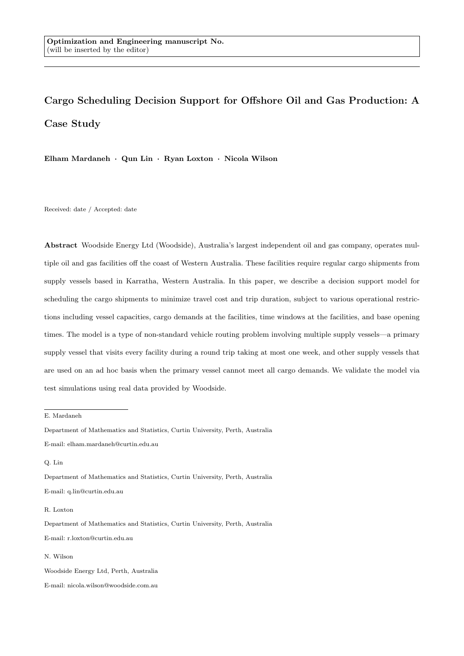# Cargo Scheduling Decision Support for Offshore Oil and Gas Production: A Case Study

Elham Mardaneh · Qun Lin · Ryan Loxton · Nicola Wilson

Received: date / Accepted: date

Abstract Woodside Energy Ltd (Woodside), Australia's largest independent oil and gas company, operates multiple oil and gas facilities off the coast of Western Australia. These facilities require regular cargo shipments from supply vessels based in Karratha, Western Australia. In this paper, we describe a decision support model for scheduling the cargo shipments to minimize travel cost and trip duration, subject to various operational restrictions including vessel capacities, cargo demands at the facilities, time windows at the facilities, and base opening times. The model is a type of non-standard vehicle routing problem involving multiple supply vessels—a primary supply vessel that visits every facility during a round trip taking at most one week, and other supply vessels that are used on an ad hoc basis when the primary vessel cannot meet all cargo demands. We validate the model via test simulations using real data provided by Woodside.

Department of Mathematics and Statistics, Curtin University, Perth, Australia E-mail: q.lin@curtin.edu.au

R. Loxton

N. Wilson

E. Mardaneh

Department of Mathematics and Statistics, Curtin University, Perth, Australia E-mail: elham.mardaneh@curtin.edu.au

Q. Lin

Department of Mathematics and Statistics, Curtin University, Perth, Australia E-mail: r.loxton@curtin.edu.au

Woodside Energy Ltd, Perth, Australia

E-mail: nicola.wilson@woodside.com.au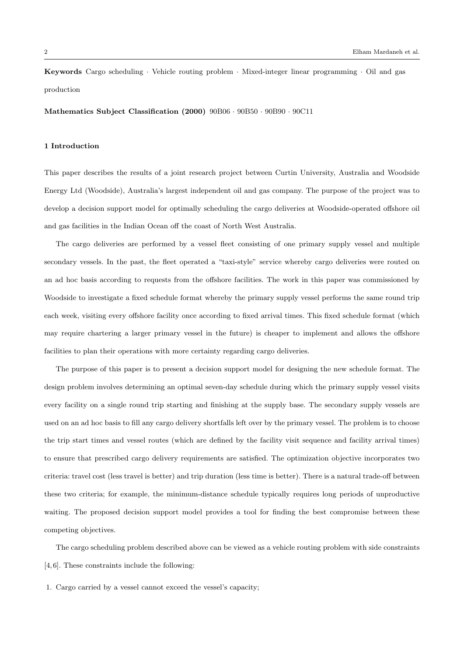Keywords Cargo scheduling · Vehicle routing problem · Mixed-integer linear programming · Oil and gas production

Mathematics Subject Classification (2000)  $90B06 \cdot 90B50 \cdot 90B90 \cdot 90C11$ 

#### 1 Introduction

This paper describes the results of a joint research project between Curtin University, Australia and Woodside Energy Ltd (Woodside), Australia's largest independent oil and gas company. The purpose of the project was to develop a decision support model for optimally scheduling the cargo deliveries at Woodside-operated offshore oil and gas facilities in the Indian Ocean off the coast of North West Australia.

The cargo deliveries are performed by a vessel fleet consisting of one primary supply vessel and multiple secondary vessels. In the past, the fleet operated a "taxi-style" service whereby cargo deliveries were routed on an ad hoc basis according to requests from the offshore facilities. The work in this paper was commissioned by Woodside to investigate a fixed schedule format whereby the primary supply vessel performs the same round trip each week, visiting every offshore facility once according to fixed arrival times. This fixed schedule format (which may require chartering a larger primary vessel in the future) is cheaper to implement and allows the offshore facilities to plan their operations with more certainty regarding cargo deliveries.

The purpose of this paper is to present a decision support model for designing the new schedule format. The design problem involves determining an optimal seven-day schedule during which the primary supply vessel visits every facility on a single round trip starting and finishing at the supply base. The secondary supply vessels are used on an ad hoc basis to fill any cargo delivery shortfalls left over by the primary vessel. The problem is to choose the trip start times and vessel routes (which are defined by the facility visit sequence and facility arrival times) to ensure that prescribed cargo delivery requirements are satisfied. The optimization objective incorporates two criteria: travel cost (less travel is better) and trip duration (less time is better). There is a natural trade-off between these two criteria; for example, the minimum-distance schedule typically requires long periods of unproductive waiting. The proposed decision support model provides a tool for finding the best compromise between these competing objectives.

The cargo scheduling problem described above can be viewed as a vehicle routing problem with side constraints [4, 6]. These constraints include the following:

1. Cargo carried by a vessel cannot exceed the vessel's capacity;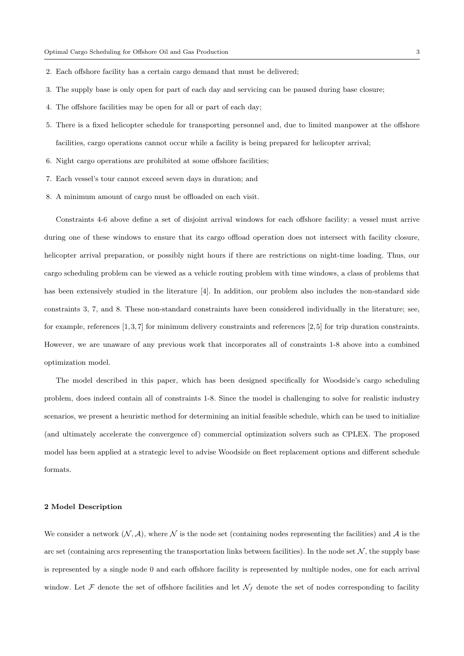- 2. Each offshore facility has a certain cargo demand that must be delivered;
- 3. The supply base is only open for part of each day and servicing can be paused during base closure;
- 4. The offshore facilities may be open for all or part of each day;
- 5. There is a fixed helicopter schedule for transporting personnel and, due to limited manpower at the offshore facilities, cargo operations cannot occur while a facility is being prepared for helicopter arrival;
- 6. Night cargo operations are prohibited at some offshore facilities;
- 7. Each vessel's tour cannot exceed seven days in duration; and
- 8. A minimum amount of cargo must be offloaded on each visit.

Constraints 4-6 above define a set of disjoint arrival windows for each offshore facility: a vessel must arrive during one of these windows to ensure that its cargo offload operation does not intersect with facility closure, helicopter arrival preparation, or possibly night hours if there are restrictions on night-time loading. Thus, our cargo scheduling problem can be viewed as a vehicle routing problem with time windows, a class of problems that has been extensively studied in the literature [4]. In addition, our problem also includes the non-standard side constraints 3, 7, and 8. These non-standard constraints have been considered individually in the literature; see, for example, references  $[1,3,7]$  for minimum delivery constraints and references  $[2,5]$  for trip duration constraints. However, we are unaware of any previous work that incorporates all of constraints 1-8 above into a combined optimization model.

The model described in this paper, which has been designed specifically for Woodside's cargo scheduling problem, does indeed contain all of constraints 1-8. Since the model is challenging to solve for realistic industry scenarios, we present a heuristic method for determining an initial feasible schedule, which can be used to initialize (and ultimately accelerate the convergence of) commercial optimization solvers such as CPLEX. The proposed model has been applied at a strategic level to advise Woodside on fleet replacement options and different schedule formats.

### 2 Model Description

We consider a network  $(N, \mathcal{A})$ , where N is the node set (containing nodes representing the facilities) and A is the arc set (containing arcs representing the transportation links between facilities). In the node set  $\mathcal{N}$ , the supply base is represented by a single node 0 and each offshore facility is represented by multiple nodes, one for each arrival window. Let  $\mathcal F$  denote the set of offshore facilities and let  $\mathcal N_f$  denote the set of nodes corresponding to facility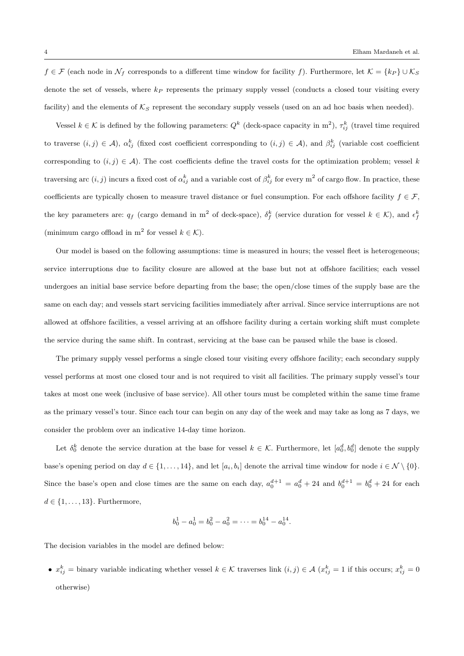$f \in \mathcal{F}$  (each node in  $\mathcal{N}_f$  corresponds to a different time window for facility f). Furthermore, let  $\mathcal{K} = \{k_P\} \cup \mathcal{K}_S$ denote the set of vessels, where  $k_P$  represents the primary supply vessel (conducts a closed tour visiting every facility) and the elements of  $K_S$  represent the secondary supply vessels (used on an ad hoc basis when needed).

Vessel  $k \in \mathcal{K}$  is defined by the following parameters:  $Q^k$  (deck-space capacity in m<sup>2</sup>),  $\tau_{ij}^k$  (travel time required to traverse  $(i, j) \in \mathcal{A}$ ),  $\alpha_{ij}^k$  (fixed cost coefficient corresponding to  $(i, j) \in \mathcal{A}$ ), and  $\beta_{ij}^k$  (variable cost coefficient corresponding to  $(i, j) \in \mathcal{A}$ ). The cost coefficients define the travel costs for the optimization problem; vessel k traversing arc  $(i, j)$  incurs a fixed cost of  $\alpha_{ij}^k$  and a variable cost of  $\beta_{ij}^k$  for every  $m^2$  of cargo flow. In practice, these coefficients are typically chosen to measure travel distance or fuel consumption. For each offshore facility  $f \in \mathcal{F}$ , the key parameters are:  $q_f$  (cargo demand in m<sup>2</sup> of deck-space),  $\delta_f^k$  (service duration for vessel  $k \in \mathcal{K}$ ), and  $\epsilon_f^k$ (minimum cargo offload in m<sup>2</sup> for vessel  $k \in \mathcal{K}$ ).

Our model is based on the following assumptions: time is measured in hours; the vessel fleet is heterogeneous; service interruptions due to facility closure are allowed at the base but not at offshore facilities; each vessel undergoes an initial base service before departing from the base; the open/close times of the supply base are the same on each day; and vessels start servicing facilities immediately after arrival. Since service interruptions are not allowed at offshore facilities, a vessel arriving at an offshore facility during a certain working shift must complete the service during the same shift. In contrast, servicing at the base can be paused while the base is closed.

The primary supply vessel performs a single closed tour visiting every offshore facility; each secondary supply vessel performs at most one closed tour and is not required to visit all facilities. The primary supply vessel's tour takes at most one week (inclusive of base service). All other tours must be completed within the same time frame as the primary vessel's tour. Since each tour can begin on any day of the week and may take as long as 7 days, we consider the problem over an indicative 14-day time horizon.

Let  $\delta_0^k$  denote the service duration at the base for vessel  $k \in \mathcal{K}$ . Furthermore, let  $[a_0^d, b_0^d]$  denote the supply base's opening period on day  $d \in \{1, ..., 14\}$ , and let  $[a_i, b_i]$  denote the arrival time window for node  $i \in \mathcal{N} \setminus \{0\}$ . Since the base's open and close times are the same on each day,  $a_0^{d+1} = a_0^d + 24$  and  $b_0^{d+1} = b_0^d + 24$  for each  $d \in \{1, \ldots, 13\}$ . Furthermore,

$$
b_0^1 - a_0^1 = b_0^2 - a_0^2 = \dots = b_0^{14} - a_0^{14}.
$$

The decision variables in the model are defined below:

•  $x_{ij}^k =$  binary variable indicating whether vessel  $k \in \mathcal{K}$  traverses link  $(i, j) \in \mathcal{A}$   $(x_{ij}^k = 1)$  if this occurs;  $x_{ij}^k = 0$ otherwise)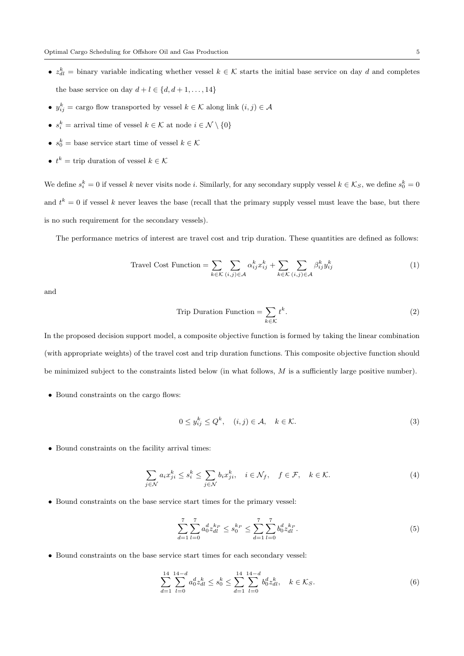- $z_{dl}^k$  = binary variable indicating whether vessel  $k \in \mathcal{K}$  starts the initial base service on day d and completes the base service on day  $d + l \in \{d, d + 1, \ldots, 14\}$
- $y_{ij}^k = \text{cargo flow transported by vessel } k \in \mathcal{K} \text{ along link } (i, j) \in \mathcal{A}$
- $s_i^k =$  arrival time of vessel  $k \in \mathcal{K}$  at node  $i \in \mathcal{N} \setminus \{0\}$
- $s_0^k$  = base service start time of vessel  $k \in \mathcal{K}$
- $t^k = \text{trip duration of vessel } k \in \mathcal{K}$

We define  $s_i^k = 0$  if vessel k never visits node *i*. Similarly, for any secondary supply vessel  $k \in \mathcal{K}_S$ , we define  $s_0^k = 0$ and  $t^k = 0$  if vessel k never leaves the base (recall that the primary supply vessel must leave the base, but there is no such requirement for the secondary vessels).

The performance metrics of interest are travel cost and trip duration. These quantities are defined as follows:

$$
\text{Travel Cost Function} = \sum_{k \in \mathcal{K}} \sum_{(i,j) \in \mathcal{A}} \alpha_{ij}^k x_{ij}^k + \sum_{k \in \mathcal{K}} \sum_{(i,j) \in \mathcal{A}} \beta_{ij}^k y_{ij}^k \tag{1}
$$

and

$$
Trip \; \text{Duration Function} = \sum_{k \in \mathcal{K}} t^k. \tag{2}
$$

In the proposed decision support model, a composite objective function is formed by taking the linear combination (with appropriate weights) of the travel cost and trip duration functions. This composite objective function should be minimized subject to the constraints listed below (in what follows,  $M$  is a sufficiently large positive number).

• Bound constraints on the cargo flows:

$$
0 \le y_{ij}^k \le Q^k, \quad (i,j) \in \mathcal{A}, \quad k \in \mathcal{K}.
$$

• Bound constraints on the facility arrival times:

$$
\sum_{j \in \mathcal{N}} a_i x_{ji}^k \le s_i^k \le \sum_{j \in \mathcal{N}} b_i x_{ji}^k, \quad i \in \mathcal{N}_f, \quad f \in \mathcal{F}, \quad k \in \mathcal{K}.
$$
 (4)

• Bound constraints on the base service start times for the primary vessel:

$$
\sum_{d=1}^{7} \sum_{l=0}^{7} a_0^d z_{dl}^{k_P} \le s_0^{k_P} \le \sum_{d=1}^{7} \sum_{l=0}^{7} b_0^d z_{dl}^{k_P}.
$$
\n
$$
(5)
$$

• Bound constraints on the base service start times for each secondary vessel:

$$
\sum_{d=1}^{14} \sum_{l=0}^{14-d} a_0^d z_{dl}^k \le s_0^k \le \sum_{d=1}^{14} \sum_{l=0}^{14-d} b_0^d z_{dl}^k, \quad k \in \mathcal{K}_S.
$$
 (6)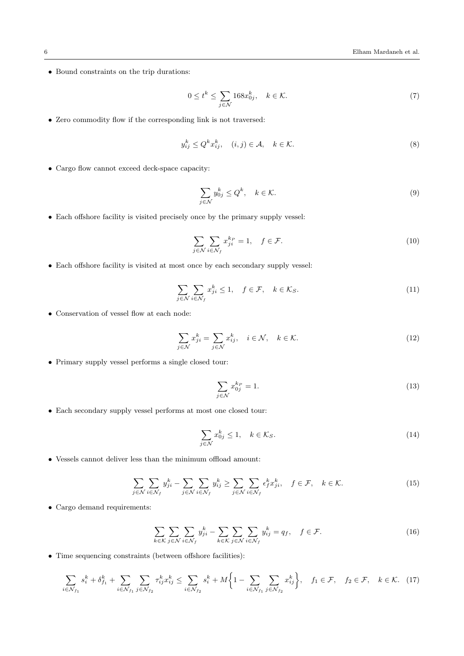$\bullet\,$  Bound constraints on the trip durations:

$$
0 \le t^k \le \sum_{j \in \mathcal{N}} 168x_{0j}^k, \quad k \in \mathcal{K}.\tag{7}
$$

• Zero commodity flow if the corresponding link is not traversed:

$$
y_{ij}^k \le Q^k x_{ij}^k, \quad (i,j) \in \mathcal{A}, \quad k \in \mathcal{K}.
$$

• Cargo flow cannot exceed deck-space capacity:

$$
\sum_{j \in \mathcal{N}} y_{0j}^k \le Q^k, \quad k \in \mathcal{K}.\tag{9}
$$

• Each offshore facility is visited precisely once by the primary supply vessel:

$$
\sum_{j \in \mathcal{N}} \sum_{i \in \mathcal{N}_f} x_{ji}^{k_P} = 1, \quad f \in \mathcal{F}.
$$
\n(10)

• Each offshore facility is visited at most once by each secondary supply vessel:

$$
\sum_{j \in \mathcal{N}} \sum_{i \in \mathcal{N}_f} x_{ji}^k \le 1, \quad f \in \mathcal{F}, \quad k \in \mathcal{K}_S. \tag{11}
$$

• Conservation of vessel flow at each node:

$$
\sum_{j \in \mathcal{N}} x_{ji}^k = \sum_{j \in \mathcal{N}} x_{ij}^k, \quad i \in \mathcal{N}, \quad k \in \mathcal{K}.
$$
\n(12)

• Primary supply vessel performs a single closed tour:

$$
\sum_{j \in \mathcal{N}} x_{0j}^{k_P} = 1. \tag{13}
$$

• Each secondary supply vessel performs at most one closed tour:

$$
\sum_{j \in \mathcal{N}} x_{0j}^k \le 1, \quad k \in \mathcal{K}_S. \tag{14}
$$

• Vessels cannot deliver less than the minimum offload amount:

$$
\sum_{j \in \mathcal{N}} \sum_{i \in \mathcal{N}_f} y_{ji}^k - \sum_{j \in \mathcal{N}} \sum_{i \in \mathcal{N}_f} y_{ij}^k \ge \sum_{j \in \mathcal{N}} \sum_{i \in \mathcal{N}_f} \epsilon_f^k x_{ji}^k, \quad f \in \mathcal{F}, \quad k \in \mathcal{K}.
$$
 (15)

• Cargo demand requirements:

$$
\sum_{k \in \mathcal{K}} \sum_{j \in \mathcal{N}} \sum_{i \in \mathcal{N}_f} y_{ji}^k - \sum_{k \in \mathcal{K}} \sum_{j \in \mathcal{N}} \sum_{i \in \mathcal{N}_f} y_{ij}^k = q_f, \quad f \in \mathcal{F}.
$$
\n(16)

• Time sequencing constraints (between offshore facilities):

$$
\sum_{i \in \mathcal{N}_{f_1}} s_i^k + \delta_{f_1}^k + \sum_{i \in \mathcal{N}_{f_1}} \sum_{j \in \mathcal{N}_{f_2}} \tau_{ij}^k x_{ij}^k \le \sum_{i \in \mathcal{N}_{f_2}} s_i^k + M \left\{ 1 - \sum_{i \in \mathcal{N}_{f_1}} \sum_{j \in \mathcal{N}_{f_2}} x_{ij}^k \right\}, \quad f_1 \in \mathcal{F}, \quad f_2 \in \mathcal{F}, \quad k \in \mathcal{K}. \tag{17}
$$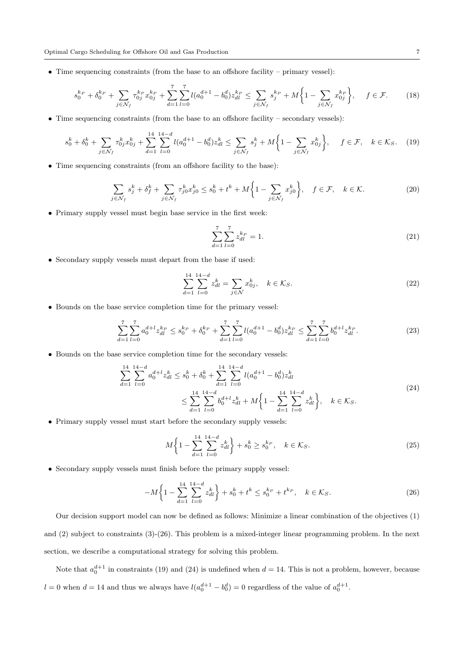• Time sequencing constraints (from the base to an offshore facility – primary vessel):

$$
s_0^{k_P} + \delta_0^{k_P} + \sum_{j \in \mathcal{N}_f} \tau_{0j}^{k_P} x_{0j}^{k_P} + \sum_{d=1}^7 \sum_{l=0}^7 l(a_0^{d+1} - b_0^d) z_{dl}^{k_P} \le \sum_{j \in \mathcal{N}_f} s_j^{k_P} + M \left\{ 1 - \sum_{j \in \mathcal{N}_f} x_{0j}^{k_P} \right\}, \quad f \in \mathcal{F}.
$$
 (18)

• Time sequencing constraints (from the base to an offshore facility – secondary vessels):

$$
s_0^k + \delta_0^k + \sum_{j \in \mathcal{N}_f} \tau_{0j}^k x_{0j}^k + \sum_{d=1}^{14} \sum_{l=0}^{14-d} l(a_0^{d+1} - b_0^d) z_{dl}^k \le \sum_{j \in \mathcal{N}_f} s_j^k + M \left\{ 1 - \sum_{j \in \mathcal{N}_f} x_{0j}^k \right\}, \quad f \in \mathcal{F}, \quad k \in \mathcal{K}_S. \tag{19}
$$

• Time sequencing constraints (from an offshore facility to the base):

$$
\sum_{j \in \mathcal{N}_f} s_j^k + \delta_f^k + \sum_{j \in \mathcal{N}_f} \tau_{j0}^k x_{j0}^k \le s_0^k + t^k + M \left\{ 1 - \sum_{j \in \mathcal{N}_f} x_{j0}^k \right\}, \quad f \in \mathcal{F}, \quad k \in \mathcal{K}.
$$
 (20)

• Primary supply vessel must begin base service in the first week:

$$
\sum_{d=1}^{7} \sum_{l=0}^{7} z_{dl}^{k_P} = 1.
$$
\n(21)

• Secondary supply vessels must depart from the base if used:

$$
\sum_{d=1}^{14} \sum_{l=0}^{14-d} z_{dl}^k = \sum_{j \in \mathcal{N}} x_{0j}^k, \quad k \in \mathcal{K}_S.
$$
 (22)

• Bounds on the base service completion time for the primary vessel:

$$
\sum_{d=1}^{7} \sum_{l=0}^{7} a_0^{d+l} z_{dl}^{k_P} \le s_0^{k_P} + \delta_0^{k_P} + \sum_{d=1}^{7} \sum_{l=0}^{7} l(a_0^{d+1} - b_0^d) z_{dl}^{k_P} \le \sum_{d=1}^{7} \sum_{l=0}^{7} b_0^{d+l} z_{dl}^{k_P}.
$$
\n(23)

• Bounds on the base service completion time for the secondary vessels:

$$
\sum_{d=1}^{14} \sum_{l=0}^{14-d} a_0^{d+l} z_{dl}^k \le s_0^k + \delta_0^k + \sum_{d=1}^{14} \sum_{l=0}^{14-d} l (a_0^{d+1} - b_0^d) z_{dl}^k
$$
\n
$$
\le \sum_{d=1}^{14} \sum_{l=0}^{14-d} b_0^{d+l} z_{dl}^k + M \left\{ 1 - \sum_{d=1}^{14} \sum_{l=0}^{14-d} z_{dl}^k \right\}, \quad k \in \mathcal{K}_S.
$$
\n
$$
(24)
$$

• Primary supply vessel must start before the secondary supply vessels:

$$
M\left\{1-\sum_{d=1}^{14}\sum_{l=0}^{14-d}z_{dl}^k\right\}+s_0^k\geq s_0^{k_P}, \quad k\in\mathcal{K}_S.
$$
 (25)

• Secondary supply vessels must finish before the primary supply vessel:

$$
-M\left\{1-\sum_{d=1}^{14}\sum_{l=0}^{14-d}z_{dl}^{k}\right\}+s_{0}^{k}+t^{k}\leq s_{0}^{k_{P}}+t^{k_{P}},\quad k\in\mathcal{K}_{S}.\tag{26}
$$

Our decision support model can now be defined as follows: Minimize a linear combination of the objectives (1) and (2) subject to constraints (3)-(26). This problem is a mixed-integer linear programming problem. In the next section, we describe a computational strategy for solving this problem.

Note that  $a_0^{d+1}$  in constraints (19) and (24) is undefined when  $d = 14$ . This is not a problem, however, because  $l = 0$  when  $d = 14$  and thus we always have  $l(a_0^{d+1} - b_0^d) = 0$  regardless of the value of  $a_0^{d+1}$ .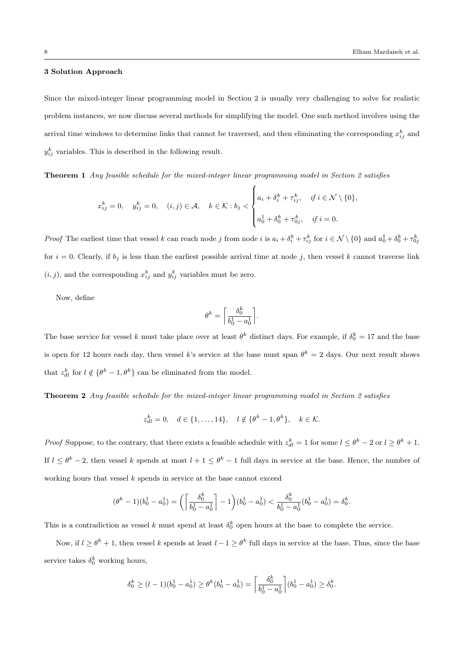## 3 Solution Approach

Since the mixed-integer linear programming model in Section 2 is usually very challenging to solve for realistic problem instances, we now discuss several methods for simplifying the model. One such method involves using the arrival time windows to determine links that cannot be traversed, and then eliminating the corresponding  $x_{ij}^k$  and  $y_{ij}^k$  variables. This is described in the following result.

Theorem 1 Any feasible schedule for the mixed-integer linear programming model in Section 2 satisfies

$$
x_{ij}^{k} = 0, \quad y_{ij}^{k} = 0, \quad (i, j) \in \mathcal{A}, \quad k \in \mathcal{K} : b_{j} < \begin{cases} a_{i} + \delta_{i}^{k} + \tau_{ij}^{k}, & \text{if } i \in \mathcal{N} \setminus \{0\}, \\ a_{0}^{1} + \delta_{0}^{k} + \tau_{0j}^{k}, & \text{if } i = 0. \end{cases}
$$

Proof The earliest time that vessel k can reach node j from node i is  $a_i + \delta_i^k + \tau_{ij}^k$  for  $i \in \mathcal{N} \setminus \{0\}$  and  $a_0^1 + \delta_0^k + \tau_{0j}^k$ for  $i = 0$ . Clearly, if  $b_j$  is less than the earliest possible arrival time at node j, then vessel k cannot traverse link  $(i, j)$ , and the corresponding  $x_{ij}^k$  and  $y_{ij}^k$  variables must be zero.

Now, define

$$
\theta^k = \bigg\lceil \frac{\delta_0^k}{b_0^1 - a_0^1} \bigg\rceil.
$$

The base service for vessel k must take place over at least  $\theta^k$  distinct days. For example, if  $\delta_0^k = 17$  and the base is open for 12 hours each day, then vessel k's service at the base must span  $\theta^k = 2$  days. Our next result shows that  $z_{dl}^k$  for  $l \notin {\theta^k - 1, \theta^k}$  can be eliminated from the model.

Theorem 2 Any feasible schedule for the mixed-integer linear programming model in Section 2 satisfies

$$
z_{dl}^k = 0
$$
,  $d \in \{1, ..., 14\}$ ,  $l \notin \{\theta^k - 1, \theta^k\}$ ,  $k \in \mathcal{K}$ .

*Proof* Suppose, to the contrary, that there exists a feasible schedule with  $z_{dl}^k = 1$  for some  $l \leq \theta^k - 2$  or  $l \geq \theta^k + 1$ . If  $l \leq \theta^k - 2$ , then vessel k spends at most  $l + 1 \leq \theta^k - 1$  full days in service at the base. Hence, the number of working hours that vessel  $k$  spends in service at the base cannot exceed

$$
(\theta^k - 1)(b_0^1 - a_0^1) = \left( \left\lceil \frac{\delta_0^k}{b_0^1 - a_0^1} \right\rceil - 1 \right) (b_0^1 - a_0^1) < \frac{\delta_0^k}{b_0^1 - a_0^1} (b_0^1 - a_0^1) = \delta_0^k.
$$

This is a contradiction as vessel k must spend at least  $\delta_0^k$  open hours at the base to complete the service.

Now, if  $l \geq \theta^k + 1$ , then vessel k spends at least  $l - 1 \geq \theta^k$  full days in service at the base. Thus, since the base service takes  $\delta_0^k$  working hours,

$$
\delta_0^k \ge (l-1)(b_0^1 - a_0^1) \ge \theta^k(b_0^1 - a_0^1) = \left\lceil \frac{\delta_0^k}{b_0^1 - a_0^1} \right\rceil (b_0^1 - a_0^1) \ge \delta_0^k.
$$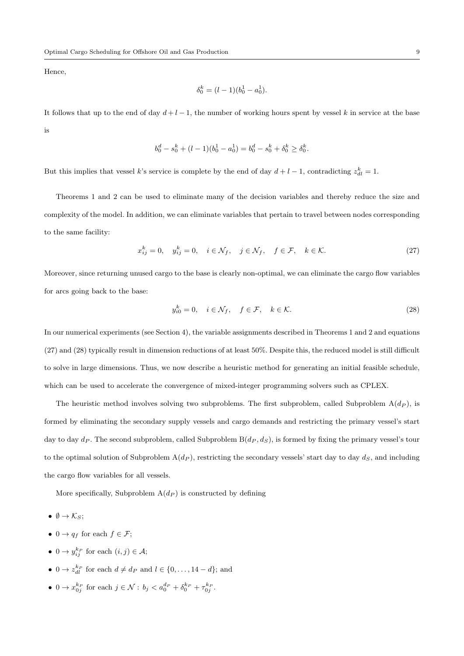Hence,

$$
\delta_0^k = (l-1)(b_0^1 - a_0^1).
$$

It follows that up to the end of day  $d + l - 1$ , the number of working hours spent by vessel k in service at the base is

$$
b_0^d - s_0^k + (l-1)(b_0^1 - a_0^1) = b_0^d - s_0^k + \delta_0^k \ge \delta_0^k.
$$

But this implies that vessel k's service is complete by the end of day  $d + l - 1$ , contradicting  $z_{dl}^k = 1$ .

Theorems 1 and 2 can be used to eliminate many of the decision variables and thereby reduce the size and complexity of the model. In addition, we can eliminate variables that pertain to travel between nodes corresponding to the same facility:

$$
x_{ij}^k = 0, \quad y_{ij}^k = 0, \quad i \in \mathcal{N}_f, \quad j \in \mathcal{N}_f, \quad f \in \mathcal{F}, \quad k \in \mathcal{K}.
$$

Moreover, since returning unused cargo to the base is clearly non-optimal, we can eliminate the cargo flow variables for arcs going back to the base:

$$
y_{i0}^k = 0, \quad i \in \mathcal{N}_f, \quad f \in \mathcal{F}, \quad k \in \mathcal{K}.
$$

In our numerical experiments (see Section 4), the variable assignments described in Theorems 1 and 2 and equations (27) and (28) typically result in dimension reductions of at least 50%. Despite this, the reduced model is still difficult to solve in large dimensions. Thus, we now describe a heuristic method for generating an initial feasible schedule, which can be used to accelerate the convergence of mixed-integer programming solvers such as CPLEX.

The heuristic method involves solving two subproblems. The first subproblem, called Subproblem  $A(d_P)$ , is formed by eliminating the secondary supply vessels and cargo demands and restricting the primary vessel's start day to day  $d_P$ . The second subproblem, called Subproblem  $B(d_P, d_S)$ , is formed by fixing the primary vessel's tour to the optimal solution of Subproblem  $A(d_P)$ , restricting the secondary vessels' start day to day  $d_S$ , and including the cargo flow variables for all vessels.

More specifically, Subproblem  $A(d_P)$  is constructed by defining

- $\emptyset \to \mathcal{K}_S$ ;
- $0 \rightarrow q_f$  for each  $f \in \mathcal{F}$ ;
- $0 \to y_{ij}^{k_P}$  for each  $(i, j) \in \mathcal{A}$ ;
- $0 \to z_{dl}^{k_P}$  for each  $d \neq d_P$  and  $l \in \{0, \ldots, 14 d\}$ ; and
- $0 \to x_{0j}^{k_P}$  for each  $j \in \mathcal{N} : b_j < a_0^{d_P} + \delta_0^{k_P} + \tau_{0j}^{k_P}$ .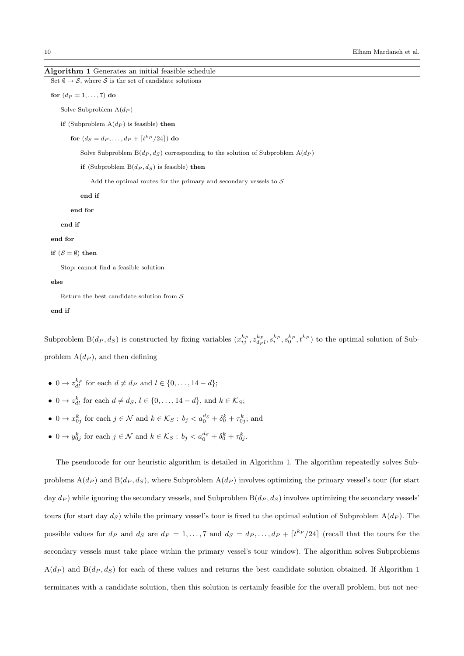| Algorithm 1 Generates an initial feasible schedule                                     |
|----------------------------------------------------------------------------------------|
| Set $\emptyset \to \mathcal{S}$ , where $\mathcal S$ is the set of candidate solutions |
| for $(d_P = 1, , 7)$ do                                                                |
| Solve Subproblem $A(d_P)$                                                              |
| <b>if</b> (Subproblem $A(d_P)$ is feasible) <b>then</b>                                |
| for $(d_S = d_P, , d_P + \lceil t^{k_P}/24 \rceil)$ do                                 |
| Solve Subproblem $B(d_P, d_S)$ corresponding to the solution of Subproblem $A(d_P)$    |
| if (Subproblem $B(d_P, d_S)$ is feasible) then                                         |
| Add the optimal routes for the primary and secondary vessels to $S$                    |
| end if                                                                                 |
| end for                                                                                |
| end if                                                                                 |
| end for                                                                                |
| if $(S = \emptyset)$ then                                                              |
| Stop: cannot find a feasible solution                                                  |
| else                                                                                   |
| Return the best candidate solution from $\mathcal S$                                   |
|                                                                                        |

end if

Subproblem  $B(d_P, d_S)$  is constructed by fixing variables  $(x_{ij}^{k_P}, z_{d_P l}^{k_P}, s_i^{k_P}, s_0^{k_P}, t^{k_P})$  to the optimal solution of Subproblem  $A(d_P)$ , and then defining

- $0 \to z_{dl}^{k_P}$  for each  $d \neq d_P$  and  $l \in \{0, \ldots, 14 d\};$
- $0 \to z_{dl}^k$  for each  $d \neq d_S, l \in \{0, \ldots, 14 d\}$ , and  $k \in \mathcal{K}_S$ ;
- $0 \to x_{0j}^k$  for each  $j \in \mathcal{N}$  and  $k \in \mathcal{K}_S : b_j < a_0^{d_S} + \delta_0^k + \tau_{0j}^k$ ; and
- $0 \to y_{0j}^k$  for each  $j \in \mathcal{N}$  and  $k \in \mathcal{K}_S : b_j < a_0^{d_S} + \delta_0^k + \tau_{0j}^k$ .

The pseudocode for our heuristic algorithm is detailed in Algorithm 1. The algorithm repeatedly solves Subproblems  $A(d_P)$  and  $B(d_P, d_S)$ , where Subproblem  $A(d_P)$  involves optimizing the primary vessel's tour (for start day  $d_P$ ) while ignoring the secondary vessels, and Subproblem  $B(d_P, d_S)$  involves optimizing the secondary vessels' tours (for start day  $d_S$ ) while the primary vessel's tour is fixed to the optimal solution of Subproblem  $A(d_P)$ . The possible values for  $d_P$  and  $d_S$  are  $d_P = 1, \ldots, 7$  and  $d_S = d_P, \ldots, d_P + \lceil t^{k_P}/24 \rceil$  (recall that the tours for the secondary vessels must take place within the primary vessel's tour window). The algorithm solves Subproblems  $A(d_P)$  and  $B(d_P, d_S)$  for each of these values and returns the best candidate solution obtained. If Algorithm 1 terminates with a candidate solution, then this solution is certainly feasible for the overall problem, but not nec-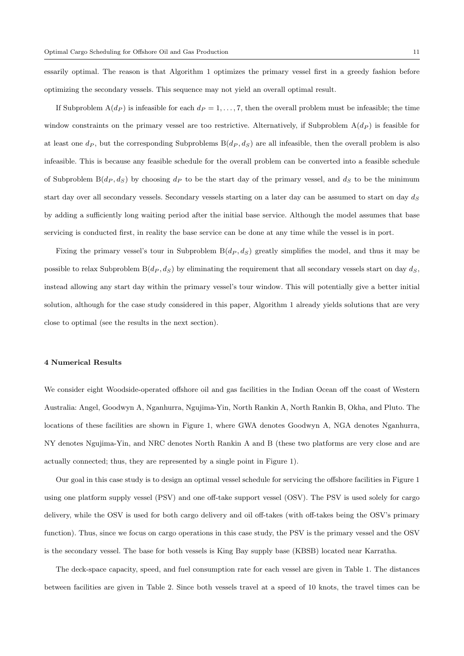essarily optimal. The reason is that Algorithm 1 optimizes the primary vessel first in a greedy fashion before optimizing the secondary vessels. This sequence may not yield an overall optimal result.

If Subproblem  $A(d_P)$  is infeasible for each  $d_P = 1, \ldots, 7$ , then the overall problem must be infeasible; the time window constraints on the primary vessel are too restrictive. Alternatively, if Subproblem  $A(d_P)$  is feasible for at least one  $d_P$ , but the corresponding Subproblems  $B(d_P, d_S)$  are all infeasible, then the overall problem is also infeasible. This is because any feasible schedule for the overall problem can be converted into a feasible schedule of Subproblem  $B(d_P, d_S)$  by choosing  $d_P$  to be the start day of the primary vessel, and  $d_S$  to be the minimum start day over all secondary vessels. Secondary vessels starting on a later day can be assumed to start on day  $d_S$ by adding a sufficiently long waiting period after the initial base service. Although the model assumes that base servicing is conducted first, in reality the base service can be done at any time while the vessel is in port.

Fixing the primary vessel's tour in Subproblem  $B(d_P, d_S)$  greatly simplifies the model, and thus it may be possible to relax Subproblem  $B(d_P, d_S)$  by eliminating the requirement that all secondary vessels start on day  $d_S$ , instead allowing any start day within the primary vessel's tour window. This will potentially give a better initial solution, although for the case study considered in this paper, Algorithm 1 already yields solutions that are very close to optimal (see the results in the next section).

#### 4 Numerical Results

We consider eight Woodside-operated offshore oil and gas facilities in the Indian Ocean off the coast of Western Australia: Angel, Goodwyn A, Nganhurra, Ngujima-Yin, North Rankin A, North Rankin B, Okha, and Pluto. The locations of these facilities are shown in Figure 1, where GWA denotes Goodwyn A, NGA denotes Nganhurra, NY denotes Ngujima-Yin, and NRC denotes North Rankin A and B (these two platforms are very close and are actually connected; thus, they are represented by a single point in Figure 1).

Our goal in this case study is to design an optimal vessel schedule for servicing the offshore facilities in Figure 1 using one platform supply vessel (PSV) and one off-take support vessel (OSV). The PSV is used solely for cargo delivery, while the OSV is used for both cargo delivery and oil off-takes (with off-takes being the OSV's primary function). Thus, since we focus on cargo operations in this case study, the PSV is the primary vessel and the OSV is the secondary vessel. The base for both vessels is King Bay supply base (KBSB) located near Karratha.

The deck-space capacity, speed, and fuel consumption rate for each vessel are given in Table 1. The distances between facilities are given in Table 2. Since both vessels travel at a speed of 10 knots, the travel times can be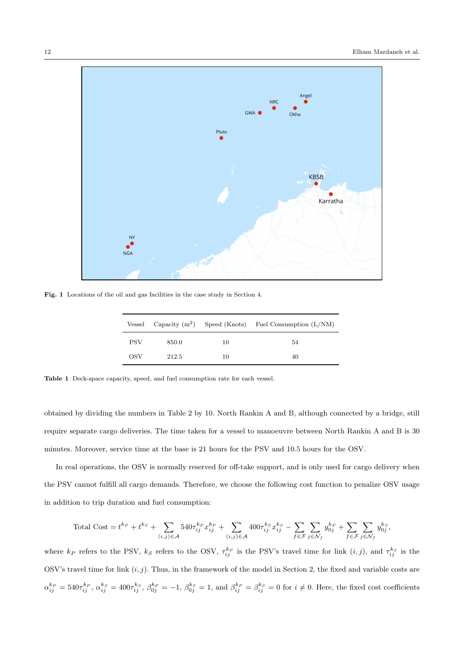

Fig. 1 Locations of the oil and gas facilities in the case study in Section 4.

| Vessel     |       |    | Capacity $(m^2)$ Speed (Knots) Fuel Consumption (L/NM) |
|------------|-------|----|--------------------------------------------------------|
| <b>PSV</b> | 850.0 | 10 | 54                                                     |
| OSV        | 212.5 | 10 | 40                                                     |

Table 1 Deck-space capacity, speed, and fuel consumption rate for each vessel.

obtained by dividing the numbers in Table 2 by 10. North Rankin A and B, although connected by a bridge, still require separate cargo deliveries. The time taken for a vessel to manoeuvre between North Rankin A and B is 30 minutes. Moreover, service time at the base is 21 hours for the PSV and 10.5 hours for the OSV.

In real operations, the OSV is normally reserved for off-take support, and is only used for cargo delivery when the PSV cannot fulfill all cargo demands. Therefore, we choose the following cost function to penalize OSV usage in addition to trip duration and fuel consumption:

$$
\text{Total Cost} = t^{k_P} + t^{k_S} + \sum_{(i,j) \in \mathcal{A}} 540 \tau_{ij}^{k_P} x_{ij}^{k_P} + \sum_{(i,j) \in \mathcal{A}} 400 \tau_{ij}^{k_S} x_{ij}^{k_S} - \sum_{f \in \mathcal{F}} \sum_{j \in \mathcal{N}_f} y_{0j}^{k_P} + \sum_{f \in \mathcal{F}} \sum_{j \in \mathcal{N}_f} y_{0j}^{k_S},
$$

where  $k_P$  refers to the PSV,  $k_S$  refers to the OSV,  $\tau_{ij}^{k_P}$  is the PSV's travel time for link  $(i, j)$ , and  $\tau_{ij}^{k_S}$  is the OSV's travel time for link  $(i, j)$ . Thus, in the framework of the model in Section 2, the fixed and variable costs are  $\alpha_{ij}^{k_P} = 540\tau_{ij}^{k_P}, \ \alpha_{ij}^{k_S} = 400\tau_{ij}^{k_S}, \ \beta_{0j}^{k_P} = -1, \ \beta_{0j}^{k_S} = 1, \text{ and } \beta_{ij}^{k_P} = \beta_{ij}^{k_S} = 0 \text{ for } i \neq 0. \text{ Here, the fixed cost coefficients}$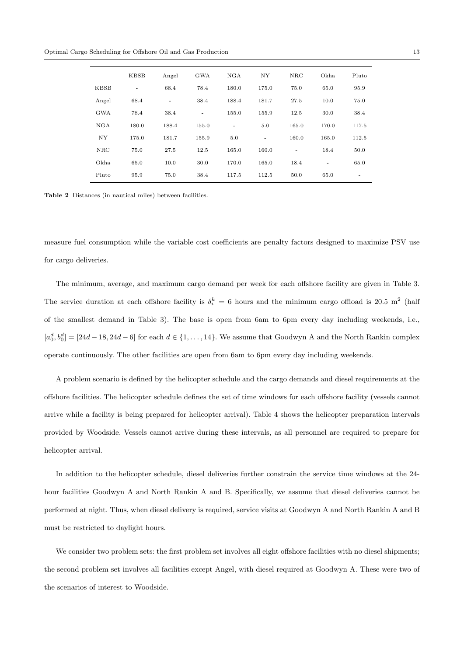|             | <b>KBSB</b> | Angel | <b>GWA</b>               | NGA   | NY                       | <b>NRC</b> | Okha  | Pluto |
|-------------|-------------|-------|--------------------------|-------|--------------------------|------------|-------|-------|
| <b>KBSB</b> | ۰           | 68.4  | 78.4                     | 180.0 | 175.0                    | 75.0       | 65.0  | 95.9  |
| Angel       | 68.4        | ٠     | 38.4                     | 188.4 | 181.7                    | 27.5       | 10.0  | 75.0  |
| <b>GWA</b>  | 78.4        | 38.4  | $\overline{\phantom{a}}$ | 155.0 | 155.9                    | 12.5       | 30.0  | 38.4  |
| NGA         | 180.0       | 188.4 | 155.0                    | ٠     | 5.0                      | 165.0      | 170.0 | 117.5 |
| NY          | 175.0       | 181.7 | 155.9                    | 5.0   | $\overline{\phantom{m}}$ | 160.0      | 165.0 | 112.5 |
| <b>NRC</b>  | 75.0        | 27.5  | 12.5                     | 165.0 | 160.0                    | ٠          | 18.4  | 50.0  |
| Okha        | 65.0        | 10.0  | 30.0                     | 170.0 | 165.0                    | 18.4       | ٠     | 65.0  |
| Pluto       | 95.9        | 75.0  | 38.4                     | 117.5 | 112.5                    | 50.0       | 65.0  | ۰     |

Table 2 Distances (in nautical miles) between facilities.

measure fuel consumption while the variable cost coefficients are penalty factors designed to maximize PSV use for cargo deliveries.

The minimum, average, and maximum cargo demand per week for each offshore facility are given in Table 3. The service duration at each offshore facility is  $\delta_i^k = 6$  hours and the minimum cargo offload is 20.5 m<sup>2</sup> (half of the smallest demand in Table 3). The base is open from 6am to 6pm every day including weekends, i.e.,  $[a_0^d, b_0^d] = [24d - 18, 24d - 6]$  for each  $d \in \{1, \ldots, 14\}$ . We assume that Goodwyn A and the North Rankin complex operate continuously. The other facilities are open from 6am to 6pm every day including weekends.

A problem scenario is defined by the helicopter schedule and the cargo demands and diesel requirements at the offshore facilities. The helicopter schedule defines the set of time windows for each offshore facility (vessels cannot arrive while a facility is being prepared for helicopter arrival). Table 4 shows the helicopter preparation intervals provided by Woodside. Vessels cannot arrive during these intervals, as all personnel are required to prepare for helicopter arrival.

In addition to the helicopter schedule, diesel deliveries further constrain the service time windows at the 24 hour facilities Goodwyn A and North Rankin A and B. Specifically, we assume that diesel deliveries cannot be performed at night. Thus, when diesel delivery is required, service visits at Goodwyn A and North Rankin A and B must be restricted to daylight hours.

We consider two problem sets: the first problem set involves all eight offshore facilities with no diesel shipments; the second problem set involves all facilities except Angel, with diesel required at Goodwyn A. These were two of the scenarios of interest to Woodside.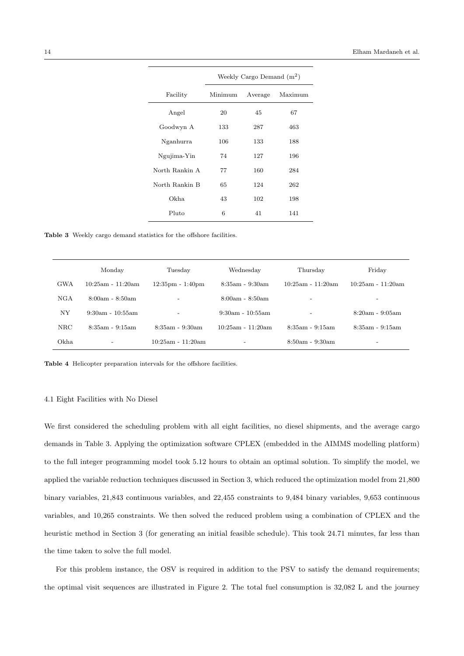|                | Weekly Cargo Demand $(m^2)$ |         |         |  |  |
|----------------|-----------------------------|---------|---------|--|--|
| Facility       | Minimum                     | Average | Maximum |  |  |
| Angel          | 20                          | 45      | 67      |  |  |
| Goodwyn A      | 133                         | 287     | 463     |  |  |
| Nganhurra      | 106                         | 133     | 188     |  |  |
| Ngujima-Yin    | 74                          | 127     | 196     |  |  |
| North Rankin A | 77                          | 160     | 284     |  |  |
| North Rankin B | 65                          | 124     | 262     |  |  |
| Okha           | 43                          | 102     | 198     |  |  |
| Pluto          | 6                           | 41      | 141     |  |  |

Table 3 Weekly cargo demand statistics for the offshore facilities.

|            | Monday                   | Tuesday                  | Wednesday                | Thursday                 | Friday                   |
|------------|--------------------------|--------------------------|--------------------------|--------------------------|--------------------------|
| <b>GWA</b> | $10:25am - 11:20am$      | $12:35$ pm - $1:40$ pm   | $8:35$ am - $9:30$ am    | $10:25am - 11:20am$      | $10:25am - 11:20am$      |
| NGA        | $8:00am - 8:50am$        | $\overline{\phantom{a}}$ | $8:00am - 8:50am$        | $\overline{\phantom{a}}$ | $\overline{\phantom{m}}$ |
| NY         | $9:30am - 10:55am$       | $\overline{\phantom{a}}$ | $9:30$ am - 10:55am      | $\overline{\phantom{a}}$ | $8:20am - 9:05am$        |
| NRC.       | $8:35$ am - $9:15$ am    | $8:35am - 9:30am$        | $10:25am - 11:20am$      | $8:35$ am - $9:15$ am    | $8:35am - 9:15am$        |
| Okha       | $\overline{\phantom{0}}$ | $10:25am - 11:20am$      | $\overline{\phantom{a}}$ | $8:50am - 9:30am$        | $\overline{\phantom{a}}$ |

Table 4 Helicopter preparation intervals for the offshore facilities.

# 4.1 Eight Facilities with No Diesel

We first considered the scheduling problem with all eight facilities, no diesel shipments, and the average cargo demands in Table 3. Applying the optimization software CPLEX (embedded in the AIMMS modelling platform) to the full integer programming model took 5.12 hours to obtain an optimal solution. To simplify the model, we applied the variable reduction techniques discussed in Section 3, which reduced the optimization model from 21,800 binary variables, 21,843 continuous variables, and 22,455 constraints to 9,484 binary variables, 9,653 continuous variables, and 10,265 constraints. We then solved the reduced problem using a combination of CPLEX and the heuristic method in Section 3 (for generating an initial feasible schedule). This took 24.71 minutes, far less than the time taken to solve the full model.

For this problem instance, the OSV is required in addition to the PSV to satisfy the demand requirements; the optimal visit sequences are illustrated in Figure 2. The total fuel consumption is 32,082 L and the journey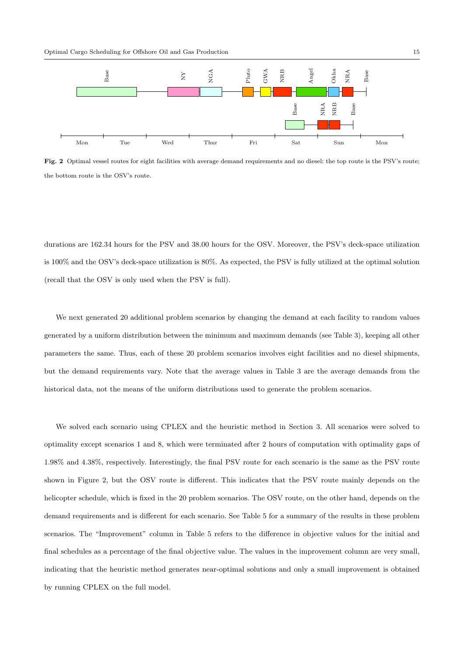

Fig. 2 Optimal vessel routes for eight facilities with average demand requirements and no diesel: the top route is the PSV's route; the bottom route is the OSV's route.

durations are 162.34 hours for the PSV and 38.00 hours for the OSV. Moreover, the PSV's deck-space utilization is 100% and the OSV's deck-space utilization is 80%. As expected, the PSV is fully utilized at the optimal solution (recall that the OSV is only used when the PSV is full).

We next generated 20 additional problem scenarios by changing the demand at each facility to random values generated by a uniform distribution between the minimum and maximum demands (see Table 3), keeping all other parameters the same. Thus, each of these 20 problem scenarios involves eight facilities and no diesel shipments, but the demand requirements vary. Note that the average values in Table 3 are the average demands from the historical data, not the means of the uniform distributions used to generate the problem scenarios.

We solved each scenario using CPLEX and the heuristic method in Section 3. All scenarios were solved to optimality except scenarios 1 and 8, which were terminated after 2 hours of computation with optimality gaps of 1.98% and 4.38%, respectively. Interestingly, the final PSV route for each scenario is the same as the PSV route shown in Figure 2, but the OSV route is different. This indicates that the PSV route mainly depends on the helicopter schedule, which is fixed in the 20 problem scenarios. The OSV route, on the other hand, depends on the demand requirements and is different for each scenario. See Table 5 for a summary of the results in these problem scenarios. The "Improvement" column in Table 5 refers to the difference in objective values for the initial and final schedules as a percentage of the final objective value. The values in the improvement column are very small, indicating that the heuristic method generates near-optimal solutions and only a small improvement is obtained by running CPLEX on the full model.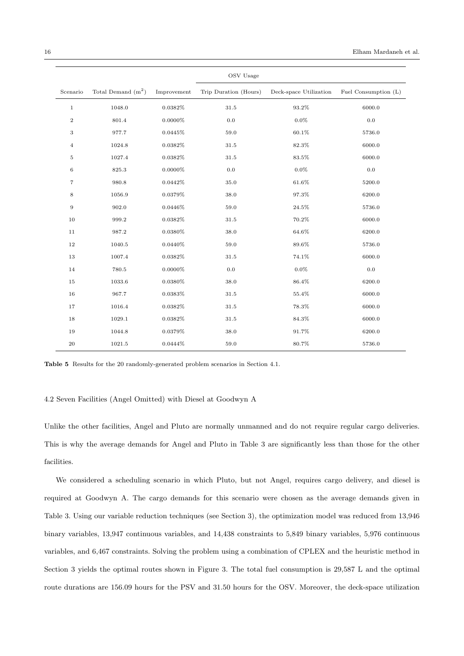|                  |                      |             | OSV Usage             |                        |                      |
|------------------|----------------------|-------------|-----------------------|------------------------|----------------------|
| Scenario         | Total Demand $(m^2)$ | Improvement | Trip Duration (Hours) | Deck-space Utilization | Fuel Consumption (L) |
| $\,1$            | 1048.0               | $0.0382\%$  | $31.5\,$              | $93.2\%$               | 6000.0               |
| $\,2$            | 801.4                | $0.0000\%$  | 0.0                   | $0.0\%$                | 0.0                  |
| 3                | 977.7                | 0.0445%     | 59.0                  | $60.1\%$               | 5736.0               |
| $\overline{4}$   | 1024.8               | $0.0382\%$  | $31.5\,$              | 82.3%                  | 6000.0               |
| $\bf 5$          | 1027.4               | $0.0382\%$  | $31.5\,$              | $83.5\%$               | 6000.0               |
| $\,6\,$          | 825.3                | $0.0000\%$  | 0.0                   | $0.0\%$                | 0.0                  |
| 7                | 980.8                | 0.0442%     | $35.0\,$              | $61.6\%$               | 5200.0               |
| $\,$ 8 $\,$      | 1056.9               | $0.0379\%$  | 38.0                  | 97.3%                  | 6200.0               |
| $\boldsymbol{9}$ | 902.0                | $0.0446\%$  | 59.0                  | $24.5\%$               | 5736.0               |
| $10\,$           | 999.2                | $0.0382\%$  | $31.5\,$              | 70.2%                  | 6000.0               |
| $11\,$           | 987.2                | $0.0380\%$  | 38.0                  | $64.6\%$               | 6200.0               |
| $12\,$           | 1040.5               | $0.0440\%$  | 59.0                  | 89.6%                  | 5736.0               |
| $13\,$           | 1007.4               | 0.0382%     | $31.5\,$              | 74.1%                  | 6000.0               |
| 14               | 780.5                | $0.0000\%$  | 0.0                   | $0.0\%$                | 0.0                  |
| $15\,$           | 1033.6               | $0.0380\%$  | 38.0                  | 86.4%                  | 6200.0               |
| $16\,$           | 967.7                | $0.0383\%$  | $31.5\,$              | $55.4\%$               | 6000.0               |
| $17\,$           | 1016.4               | 0.0382%     | 31.5                  | 78.3%                  | 6000.0               |
| 18               | 1029.1               | $0.0382\%$  | 31.5                  | 84.3%                  | 6000.0               |
| 19               | 1044.8               | $0.0379\%$  | 38.0                  | 91.7%                  | 6200.0               |
| $20\,$           | 1021.5               | 0.0444%     | 59.0                  | 80.7%                  | 5736.0               |

Table 5 Results for the 20 randomly-generated problem scenarios in Section 4.1.

#### 4.2 Seven Facilities (Angel Omitted) with Diesel at Goodwyn A

Unlike the other facilities, Angel and Pluto are normally unmanned and do not require regular cargo deliveries. This is why the average demands for Angel and Pluto in Table 3 are significantly less than those for the other facilities.

We considered a scheduling scenario in which Pluto, but not Angel, requires cargo delivery, and diesel is required at Goodwyn A. The cargo demands for this scenario were chosen as the average demands given in Table 3. Using our variable reduction techniques (see Section 3), the optimization model was reduced from 13,946 binary variables, 13,947 continuous variables, and 14,438 constraints to 5,849 binary variables, 5,976 continuous variables, and 6,467 constraints. Solving the problem using a combination of CPLEX and the heuristic method in Section 3 yields the optimal routes shown in Figure 3. The total fuel consumption is 29,587 L and the optimal route durations are 156.09 hours for the PSV and 31.50 hours for the OSV. Moreover, the deck-space utilization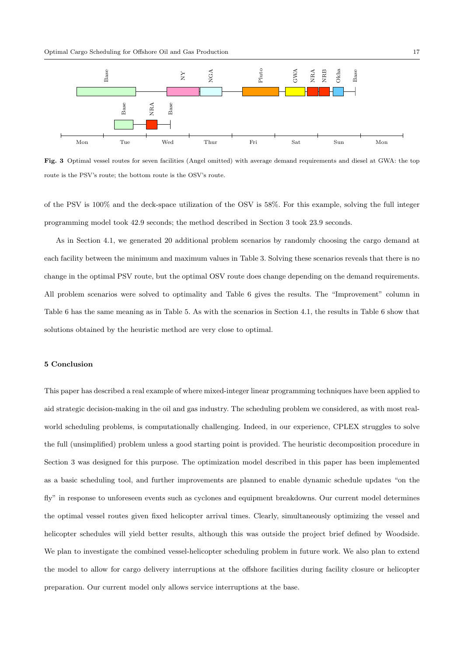

Fig. 3 Optimal vessel routes for seven facilities (Angel omitted) with average demand requirements and diesel at GWA: the top route is the PSV's route; the bottom route is the OSV's route.

of the PSV is 100% and the deck-space utilization of the OSV is 58%. For this example, solving the full integer programming model took 42.9 seconds; the method described in Section 3 took 23.9 seconds.

As in Section 4.1, we generated 20 additional problem scenarios by randomly choosing the cargo demand at each facility between the minimum and maximum values in Table 3. Solving these scenarios reveals that there is no change in the optimal PSV route, but the optimal OSV route does change depending on the demand requirements. All problem scenarios were solved to optimality and Table 6 gives the results. The "Improvement" column in Table 6 has the same meaning as in Table 5. As with the scenarios in Section 4.1, the results in Table 6 show that solutions obtained by the heuristic method are very close to optimal.

#### 5 Conclusion

This paper has described a real example of where mixed-integer linear programming techniques have been applied to aid strategic decision-making in the oil and gas industry. The scheduling problem we considered, as with most realworld scheduling problems, is computationally challenging. Indeed, in our experience, CPLEX struggles to solve the full (unsimplified) problem unless a good starting point is provided. The heuristic decomposition procedure in Section 3 was designed for this purpose. The optimization model described in this paper has been implemented as a basic scheduling tool, and further improvements are planned to enable dynamic schedule updates "on the fly" in response to unforeseen events such as cyclones and equipment breakdowns. Our current model determines the optimal vessel routes given fixed helicopter arrival times. Clearly, simultaneously optimizing the vessel and helicopter schedules will yield better results, although this was outside the project brief defined by Woodside. We plan to investigate the combined vessel-helicopter scheduling problem in future work. We also plan to extend the model to allow for cargo delivery interruptions at the offshore facilities during facility closure or helicopter preparation. Our current model only allows service interruptions at the base.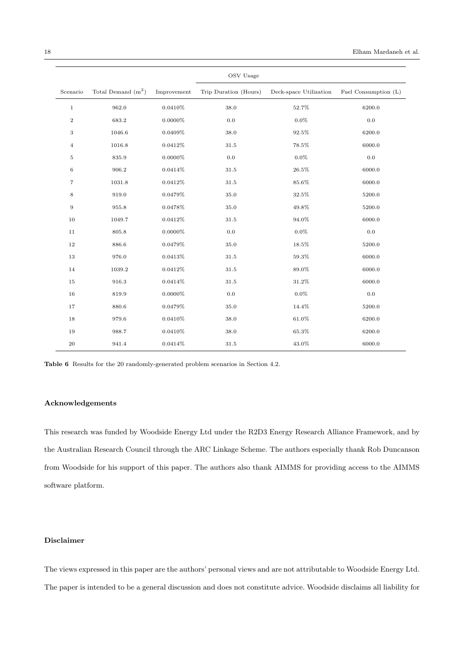|                  |                      |             | OSV Usage             |                        |                      |  |
|------------------|----------------------|-------------|-----------------------|------------------------|----------------------|--|
| Scenario         | Total Demand $(m^2)$ | Improvement | Trip Duration (Hours) | Deck-space Utilization | Fuel Consumption (L) |  |
| $\mathbf{1}$     | 962.0                | $0.0410\%$  | 38.0                  | 52.7%                  | 6200.0               |  |
| $\,2$            | 683.2                | $0.0000\%$  | $0.0\,$               | $0.0\%$                | $0.0\,$              |  |
| 3                | 1046.6               | 0.0409%     | 38.0                  | $92.5\%$               | 6200.0               |  |
| $\overline{4}$   | 1016.8               | 0.0412%     | $31.5\,$              | 78.5%                  | 6000.0               |  |
| 5                | 835.9                | $0.0000\%$  | $0.0\,$               | $0.0\%$                | $0.0\,$              |  |
| $\,6\,$          | 906.2                | 0.0414%     | 31.5                  | $26.5\%$               | 6000.0               |  |
| $\overline{7}$   | 1031.8               | 0.0412%     | $31.5\,$              | $85.6\%$               | 6000.0               |  |
| 8                | 919.0                | 0.0479%     | $35.0\,$              | $32.5\%$               | 5200.0               |  |
| $\boldsymbol{9}$ | 955.8                | 0.0478%     | 35.0                  | 49.8%                  | 5200.0               |  |
| $10\,$           | 1049.7               | 0.0412%     | $31.5\,$              | 94.0%                  | 6000.0               |  |
| $11\,$           | 805.8                | $0.0000\%$  | $0.0\,$               | $0.0\%$                | $0.0\,$              |  |
| $12\,$           | 886.6                | 0.0479%     | 35.0                  | $18.5\%$               | 5200.0               |  |
| $13\,$           | 976.0                | 0.0413%     | $31.5\,$              | $59.3\%$               | 6000.0               |  |
| 14               | 1039.2               | 0.0412%     | $31.5\,$              | $89.0\%$               | 6000.0               |  |
| $15\,$           | 916.3                | 0.0414%     | $31.5\,$              | $31.2\%$               | 6000.0               |  |
| $16\,$           | 819.9                | $0.0000\%$  | $0.0\,$               | $0.0\%$                | $0.0\,$              |  |
| $17\,$           | 880.6                | 0.0479%     | 35.0                  | 14.4%                  | 5200.0               |  |
| $18\,$           | 979.6                | $0.0410\%$  | 38.0                  | $61.0\%$               | 6200.0               |  |
| 19               | 988.7                | $0.0410\%$  | 38.0                  | $65.3\%$               | 6200.0               |  |
| $20\,$           | 941.4                | 0.0414%     | 31.5                  | $43.0\%$               | 6000.0               |  |

Table 6 Results for the 20 randomly-generated problem scenarios in Section 4.2.

# Acknowledgements

This research was funded by Woodside Energy Ltd under the R2D3 Energy Research Alliance Framework, and by the Australian Research Council through the ARC Linkage Scheme. The authors especially thank Rob Duncanson from Woodside for his support of this paper. The authors also thank AIMMS for providing access to the AIMMS software platform.

# Disclaimer

The views expressed in this paper are the authors' personal views and are not attributable to Woodside Energy Ltd. The paper is intended to be a general discussion and does not constitute advice. Woodside disclaims all liability for